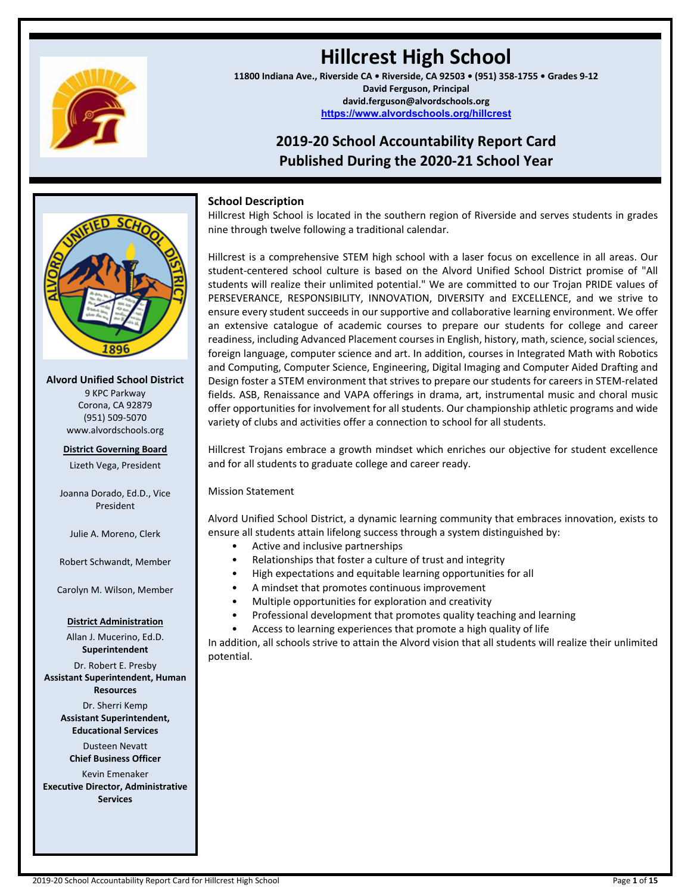

# **Hillcrest High School**

**11800 Indiana Ave., Riverside CA • Riverside, CA 92503 • (951) 358-1755 • Grades 9-12 David Ferguson, Principal david.ferguson@alvordschools.org <https://www.alvordschools.org/hillcrest>**

# **2019-20 School Accountability Report Card Published During the 2020-21 School Year**



**Alvord Unified School District**

9 KPC Parkway Corona, CA 92879 (951) 509-5070 www.alvordschools.org

# **District Governing Board** Lizeth Vega, President

Joanna Dorado, Ed.D., Vice President

Julie A. Moreno, Clerk

Robert Schwandt, Member

Carolyn M. Wilson, Member

#### **District Administration**

Allan J. Mucerino, Ed.D. **Superintendent**

Dr. Robert E. Presby **Assistant Superintendent, Human Resources**

> Dr. Sherri Kemp **Assistant Superintendent, Educational Services**

Dusteen Nevatt **Chief Business Officer**

Kevin Emenaker **Executive Director, Administrative Services**

# **School Description**

Hillcrest High School is located in the southern region of Riverside and serves students in grades nine through twelve following a traditional calendar.

Hillcrest is a comprehensive STEM high school with a laser focus on excellence in all areas. Our student-centered school culture is based on the Alvord Unified School District promise of "All students will realize their unlimited potential." We are committed to our Trojan PRIDE values of PERSEVERANCE, RESPONSIBILITY, INNOVATION, DIVERSITY and EXCELLENCE, and we strive to ensure every student succeeds in our supportive and collaborative learning environment. We offer an extensive catalogue of academic courses to prepare our students for college and career readiness, including Advanced Placement courses in English, history, math, science, social sciences, foreign language, computer science and art. In addition, courses in Integrated Math with Robotics and Computing, Computer Science, Engineering, Digital Imaging and Computer Aided Drafting and Design foster a STEM environment that strives to prepare our students for careers in STEM-related fields. ASB, Renaissance and VAPA offerings in drama, art, instrumental music and choral music offer opportunities for involvement for all students. Our championship athletic programs and wide variety of clubs and activities offer a connection to school for all students.

Hillcrest Trojans embrace a growth mindset which enriches our objective for student excellence and for all students to graduate college and career ready.

Mission Statement

Alvord Unified School District, a dynamic learning community that embraces innovation, exists to ensure all students attain lifelong success through a system distinguished by:

- Active and inclusive partnerships
- Relationships that foster a culture of trust and integrity
- High expectations and equitable learning opportunities for all
- A mindset that promotes continuous improvement
- Multiple opportunities for exploration and creativity
- Professional development that promotes quality teaching and learning
- Access to learning experiences that promote a high quality of life

In addition, all schools strive to attain the Alvord vision that all students will realize their unlimited potential.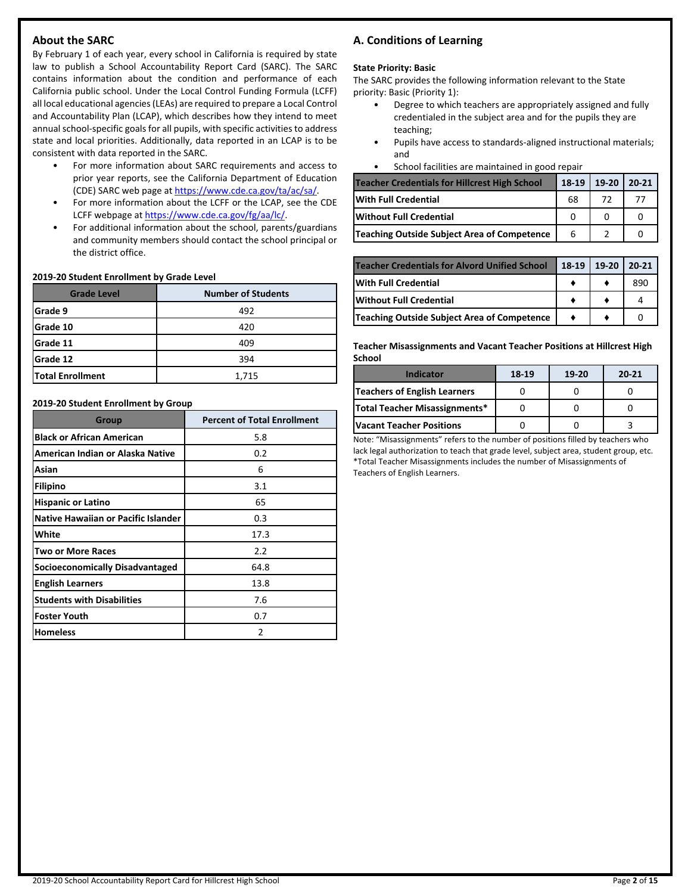# **About the SARC**

By February 1 of each year, every school in California is required by state law to publish a School Accountability Report Card (SARC). The SARC contains information about the condition and performance of each California public school. Under the Local Control Funding Formula (LCFF) all local educational agencies(LEAs) are required to prepare a Local Control and Accountability Plan (LCAP), which describes how they intend to meet annual school-specific goals for all pupils, with specific activities to address state and local priorities. Additionally, data reported in an LCAP is to be consistent with data reported in the SARC.

- For more information about SARC requirements and access to prior year reports, see the California Department of Education (CDE) SARC web page at [https://www.cde.ca.gov/ta/ac/sa/.](https://www.cde.ca.gov/ta/ac/sa/)
- For more information about the LCFF or the LCAP, see the CDE LCFF webpage at [https://www.cde.ca.gov/fg/aa/lc/.](https://www.cde.ca.gov/fg/aa/lc/)
- For additional information about the school, parents/guardians and community members should contact the school principal or the district office.

#### **2019-20 Student Enrollment by Grade Level**

| <b>Grade Level</b>      | <b>Number of Students</b> |  |  |  |
|-------------------------|---------------------------|--|--|--|
| Grade 9                 | 492                       |  |  |  |
| lGrade 10               | 420                       |  |  |  |
| Grade 11                | 409                       |  |  |  |
| <b>Grade 12</b>         | 394                       |  |  |  |
| <b>Total Enrollment</b> | 1,715                     |  |  |  |

#### **2019-20 Student Enrollment by Group**

| Group                                      | <b>Percent of Total Enrollment</b> |
|--------------------------------------------|------------------------------------|
| <b>Black or African American</b>           | 5.8                                |
| American Indian or Alaska Native           | 0.2                                |
| Asian                                      | 6                                  |
| <b>Filipino</b>                            | 3.1                                |
| <b>Hispanic or Latino</b>                  | 65                                 |
| <b>Native Hawaiian or Pacific Islander</b> | 0.3                                |
| White                                      | 17.3                               |
| <b>Two or More Races</b>                   | 2.2                                |
| <b>Socioeconomically Disadvantaged</b>     | 64.8                               |
| <b>English Learners</b>                    | 13.8                               |
| <b>Students with Disabilities</b>          | 7.6                                |
| <b>Foster Youth</b>                        | 0.7                                |
| <b>Homeless</b>                            | 2                                  |

# **A. Conditions of Learning**

#### **State Priority: Basic**

The SARC provides the following information relevant to the State priority: Basic (Priority 1):

- Degree to which teachers are appropriately assigned and fully credentialed in the subject area and for the pupils they are teaching;
- Pupils have access to standards-aligned instructional materials; and
- School facilities are maintained in good repair

| <b>Teacher Credentials for Hillcrest High School</b> |    | 18-19   19-20   20-21 |  |
|------------------------------------------------------|----|-----------------------|--|
| <b>IWith Full Credential</b>                         | 68 | 72                    |  |
| Without Full Credential                              |    |                       |  |
| Teaching Outside Subject Area of Competence          | 6  |                       |  |

| Teacher Credentials for Alvord Unified School | 18-19 | 19-20 | $20 - 21$ |
|-----------------------------------------------|-------|-------|-----------|
| With Full Credential                          |       |       | 890       |
| Without Full Credential                       |       |       |           |
| Teaching Outside Subject Area of Competence   |       |       |           |

**Teacher Misassignments and Vacant Teacher Positions at Hillcrest High School**

| Indicator                     | 18-19 | 19-20 | $20 - 21$ |
|-------------------------------|-------|-------|-----------|
| Teachers of English Learners  |       |       |           |
| Total Teacher Misassignments* |       |       |           |
| lVacant Teacher Positions     |       |       |           |

Note: "Misassignments" refers to the number of positions filled by teachers who lack legal authorization to teach that grade level, subject area, student group, etc. \*Total Teacher Misassignments includes the number of Misassignments of Teachers of English Learners.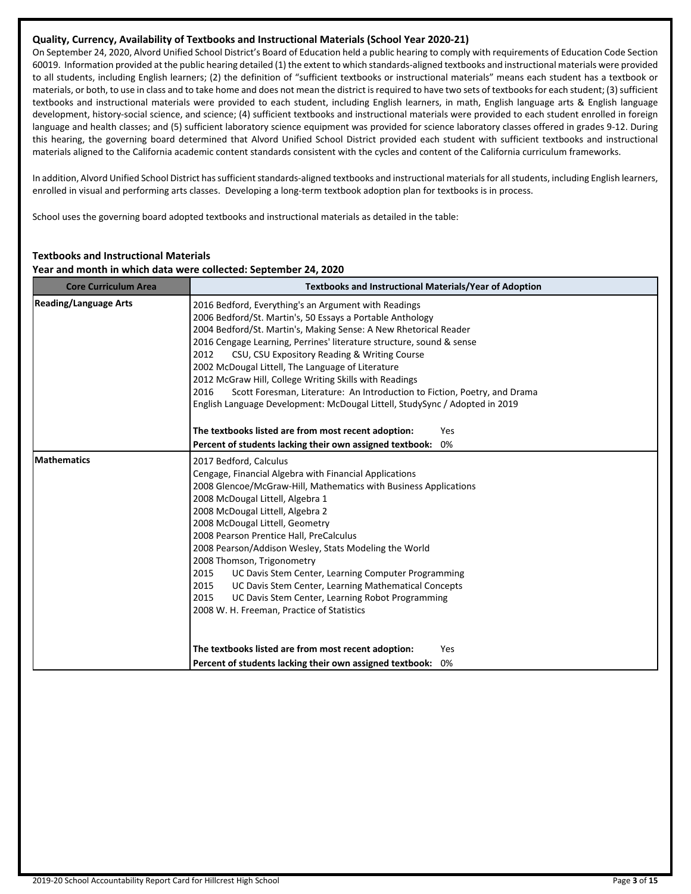# **Quality, Currency, Availability of Textbooks and Instructional Materials (School Year 2020-21)**

On September 24, 2020, Alvord Unified School District's Board of Education held a public hearing to comply with requirements of Education Code Section 60019. Information provided at the public hearing detailed (1) the extent to which standards-aligned textbooks and instructional materials were provided to all students, including English learners; (2) the definition of "sufficient textbooks or instructional materials" means each student has a textbook or materials, or both, to use in class and to take home and does not mean the district is required to have two sets of textbooks for each student; (3) sufficient textbooks and instructional materials were provided to each student, including English learners, in math, English language arts & English language development, history-social science, and science; (4) sufficient textbooks and instructional materials were provided to each student enrolled in foreign language and health classes; and (5) sufficient laboratory science equipment was provided for science laboratory classes offered in grades 9-12. During this hearing, the governing board determined that Alvord Unified School District provided each student with sufficient textbooks and instructional materials aligned to the California academic content standards consistent with the cycles and content of the California curriculum frameworks.

In addition, Alvord Unified School District has sufficient standards-aligned textbooks and instructional materials for all students, including English learners, enrolled in visual and performing arts classes. Developing a long-term textbook adoption plan for textbooks is in process.

School uses the governing board adopted textbooks and instructional materials as detailed in the table:

# **Textbooks and Instructional Materials**

#### **Year and month in which data were collected: September 24, 2020**

| <b>Core Curriculum Area</b>  | <b>Textbooks and Instructional Materials/Year of Adoption</b>                                                                                                                                                                                                                                                                                                                                                                                                                                                                                                                                                                                                                                            |  |  |  |
|------------------------------|----------------------------------------------------------------------------------------------------------------------------------------------------------------------------------------------------------------------------------------------------------------------------------------------------------------------------------------------------------------------------------------------------------------------------------------------------------------------------------------------------------------------------------------------------------------------------------------------------------------------------------------------------------------------------------------------------------|--|--|--|
| <b>Reading/Language Arts</b> | 2016 Bedford, Everything's an Argument with Readings<br>2006 Bedford/St. Martin's, 50 Essays a Portable Anthology<br>2004 Bedford/St. Martin's, Making Sense: A New Rhetorical Reader<br>2016 Cengage Learning, Perrines' literature structure, sound & sense<br>2012<br>CSU, CSU Expository Reading & Writing Course<br>2002 McDougal Littell, The Language of Literature<br>2012 McGraw Hill, College Writing Skills with Readings<br>Scott Foresman, Literature: An Introduction to Fiction, Poetry, and Drama<br>2016<br>English Language Development: McDougal Littell, StudySync / Adopted in 2019                                                                                                 |  |  |  |
|                              | The textbooks listed are from most recent adoption:<br>Yes                                                                                                                                                                                                                                                                                                                                                                                                                                                                                                                                                                                                                                               |  |  |  |
|                              | Percent of students lacking their own assigned textbook:<br>0%                                                                                                                                                                                                                                                                                                                                                                                                                                                                                                                                                                                                                                           |  |  |  |
| <b>Mathematics</b>           | 2017 Bedford, Calculus<br>Cengage, Financial Algebra with Financial Applications<br>2008 Glencoe/McGraw-Hill, Mathematics with Business Applications<br>2008 McDougal Littell, Algebra 1<br>2008 McDougal Littell, Algebra 2<br>2008 McDougal Littell, Geometry<br>2008 Pearson Prentice Hall, PreCalculus<br>2008 Pearson/Addison Wesley, Stats Modeling the World<br>2008 Thomson, Trigonometry<br>UC Davis Stem Center, Learning Computer Programming<br>2015<br>2015<br>UC Davis Stem Center, Learning Mathematical Concepts<br>2015<br>UC Davis Stem Center, Learning Robot Programming<br>2008 W. H. Freeman, Practice of Statistics<br>The textbooks listed are from most recent adoption:<br>Yes |  |  |  |
|                              | Percent of students lacking their own assigned textbook:<br>0%                                                                                                                                                                                                                                                                                                                                                                                                                                                                                                                                                                                                                                           |  |  |  |
|                              |                                                                                                                                                                                                                                                                                                                                                                                                                                                                                                                                                                                                                                                                                                          |  |  |  |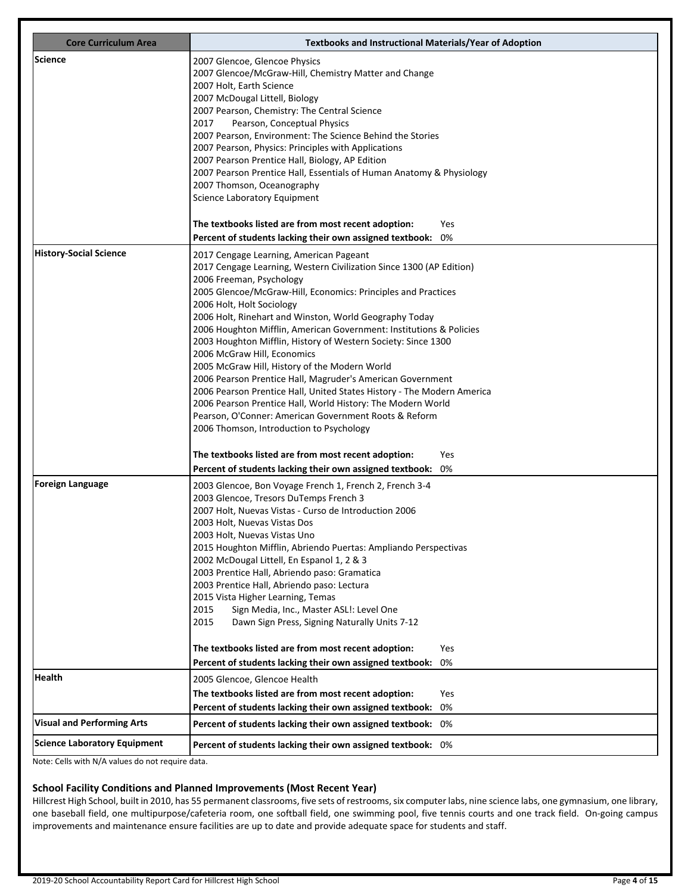| <b>Core Curriculum Area</b>       | <b>Textbooks and Instructional Materials/Year of Adoption</b>                                                                                                                                                                                                                                                                                                                                                                                                                                                                                                                                                                                                                                                                                                                                                                          |
|-----------------------------------|----------------------------------------------------------------------------------------------------------------------------------------------------------------------------------------------------------------------------------------------------------------------------------------------------------------------------------------------------------------------------------------------------------------------------------------------------------------------------------------------------------------------------------------------------------------------------------------------------------------------------------------------------------------------------------------------------------------------------------------------------------------------------------------------------------------------------------------|
| Science                           | 2007 Glencoe, Glencoe Physics<br>2007 Glencoe/McGraw-Hill, Chemistry Matter and Change<br>2007 Holt, Earth Science<br>2007 McDougal Littell, Biology<br>2007 Pearson, Chemistry: The Central Science<br>Pearson, Conceptual Physics<br>2017<br>2007 Pearson, Environment: The Science Behind the Stories<br>2007 Pearson, Physics: Principles with Applications<br>2007 Pearson Prentice Hall, Biology, AP Edition                                                                                                                                                                                                                                                                                                                                                                                                                     |
|                                   | 2007 Pearson Prentice Hall, Essentials of Human Anatomy & Physiology<br>2007 Thomson, Oceanography<br>Science Laboratory Equipment<br>The textbooks listed are from most recent adoption:<br>Yes<br>Percent of students lacking their own assigned textbook:<br>0%                                                                                                                                                                                                                                                                                                                                                                                                                                                                                                                                                                     |
| History-Social Science            | 2017 Cengage Learning, American Pageant<br>2017 Cengage Learning, Western Civilization Since 1300 (AP Edition)<br>2006 Freeman, Psychology<br>2005 Glencoe/McGraw-Hill, Economics: Principles and Practices<br>2006 Holt, Holt Sociology<br>2006 Holt, Rinehart and Winston, World Geography Today<br>2006 Houghton Mifflin, American Government: Institutions & Policies<br>2003 Houghton Mifflin, History of Western Society: Since 1300<br>2006 McGraw Hill, Economics<br>2005 McGraw Hill, History of the Modern World<br>2006 Pearson Prentice Hall, Magruder's American Government<br>2006 Pearson Prentice Hall, United States History - The Modern America<br>2006 Pearson Prentice Hall, World History: The Modern World<br>Pearson, O'Conner: American Government Roots & Reform<br>2006 Thomson, Introduction to Psychology |
|                                   | The textbooks listed are from most recent adoption:<br><b>Yes</b><br>0%<br>Percent of students lacking their own assigned textbook:                                                                                                                                                                                                                                                                                                                                                                                                                                                                                                                                                                                                                                                                                                    |
| <b>Foreign Language</b>           | 2003 Glencoe, Bon Voyage French 1, French 2, French 3-4<br>2003 Glencoe, Tresors DuTemps French 3<br>2007 Holt, Nuevas Vistas - Curso de Introduction 2006<br>2003 Holt, Nuevas Vistas Dos<br>2003 Holt, Nuevas Vistas Uno<br>2015 Houghton Mifflin, Abriendo Puertas: Ampliando Perspectivas<br>2002 McDougal Littell, En Espanol 1, 2 & 3<br>2003 Prentice Hall, Abriendo paso: Gramatica<br>2003 Prentice Hall, Abriendo paso: Lectura<br>2015 Vista Higher Learning, Temas<br>Sign Media, Inc., Master ASL!: Level One<br>2015<br>2015<br>Dawn Sign Press, Signing Naturally Units 7-12                                                                                                                                                                                                                                            |
|                                   | The textbooks listed are from most recent adoption:<br>Yes<br>0%<br>Percent of students lacking their own assigned textbook:                                                                                                                                                                                                                                                                                                                                                                                                                                                                                                                                                                                                                                                                                                           |
| <b>Health</b>                     | 2005 Glencoe, Glencoe Health<br>The textbooks listed are from most recent adoption:<br>Yes<br>Percent of students lacking their own assigned textbook:<br>0%                                                                                                                                                                                                                                                                                                                                                                                                                                                                                                                                                                                                                                                                           |
| <b>Visual and Performing Arts</b> | Percent of students lacking their own assigned textbook: 0%                                                                                                                                                                                                                                                                                                                                                                                                                                                                                                                                                                                                                                                                                                                                                                            |
| Science Laboratory Equipment      | Percent of students lacking their own assigned textbook: 0%                                                                                                                                                                                                                                                                                                                                                                                                                                                                                                                                                                                                                                                                                                                                                                            |

# **School Facility Conditions and Planned Improvements (Most Recent Year)**

Hillcrest High School, built in 2010, has 55 permanent classrooms, five sets of restrooms, six computer labs, nine science labs, one gymnasium, one library, one baseball field, one multipurpose/cafeteria room, one softball field, one swimming pool, five tennis courts and one track field. On-going campus improvements and maintenance ensure facilities are up to date and provide adequate space for students and staff.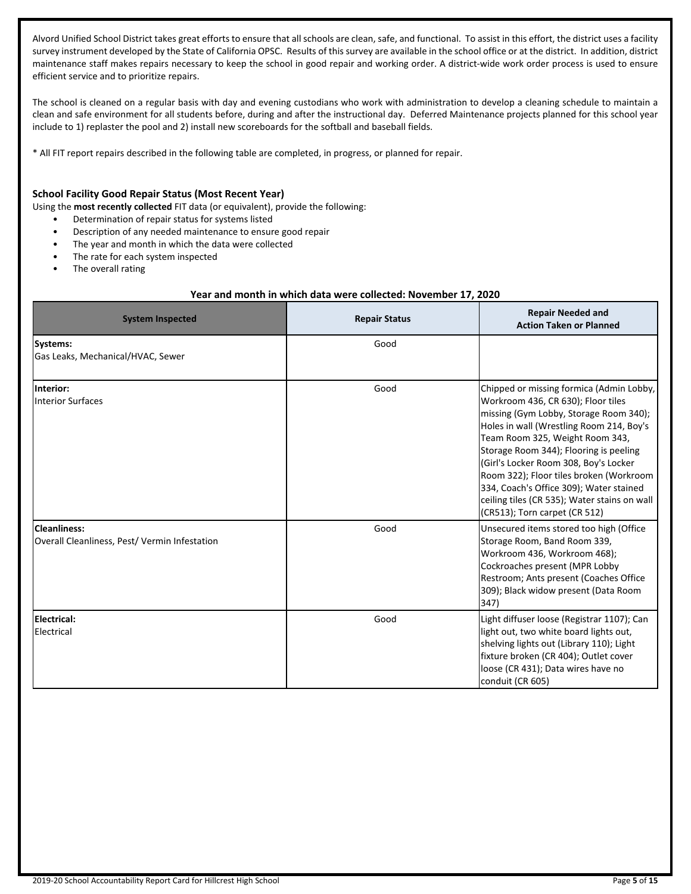Alvord Unified School District takes great efforts to ensure that all schools are clean, safe, and functional. To assist in this effort, the district uses a facility survey instrument developed by the State of California OPSC. Results of this survey are available in the school office or at the district. In addition, district maintenance staff makes repairs necessary to keep the school in good repair and working order. A district-wide work order process is used to ensure efficient service and to prioritize repairs.

The school is cleaned on a regular basis with day and evening custodians who work with administration to develop a cleaning schedule to maintain a clean and safe environment for all students before, during and after the instructional day. Deferred Maintenance projects planned for this school year include to 1) replaster the pool and 2) install new scoreboards for the softball and baseball fields.

\* All FIT report repairs described in the following table are completed, in progress, or planned for repair.

#### **School Facility Good Repair Status (Most Recent Year)**

Using the **most recently collected** FIT data (or equivalent), provide the following:

- Determination of repair status for systems listed
- Description of any needed maintenance to ensure good repair
- The year and month in which the data were collected
- The rate for each system inspected
- The overall rating

#### **Year and month in which data were collected: November 17, 2020**

| <b>System Inspected</b>                                         | <b>Repair Status</b> | <b>Repair Needed and</b><br><b>Action Taken or Planned</b>                                                                                                                                                                                                                                                                                                                                                                                                        |
|-----------------------------------------------------------------|----------------------|-------------------------------------------------------------------------------------------------------------------------------------------------------------------------------------------------------------------------------------------------------------------------------------------------------------------------------------------------------------------------------------------------------------------------------------------------------------------|
| Systems:<br>Gas Leaks, Mechanical/HVAC, Sewer                   | Good                 |                                                                                                                                                                                                                                                                                                                                                                                                                                                                   |
| Interior:<br><b>Interior Surfaces</b>                           | Good                 | Chipped or missing formica (Admin Lobby,<br>Workroom 436, CR 630); Floor tiles<br>missing (Gym Lobby, Storage Room 340);<br>Holes in wall (Wrestling Room 214, Boy's<br>Team Room 325, Weight Room 343,<br>Storage Room 344); Flooring is peeling<br>(Girl's Locker Room 308, Boy's Locker<br>Room 322); Floor tiles broken (Workroom<br>334, Coach's Office 309); Water stained<br>ceiling tiles (CR 535); Water stains on wall<br>(CR513); Torn carpet (CR 512) |
| l Cleanliness:<br>Overall Cleanliness, Pest/ Vermin Infestation | Good                 | Unsecured items stored too high (Office<br>Storage Room, Band Room 339,<br>Workroom 436, Workroom 468);<br>Cockroaches present (MPR Lobby<br>Restroom; Ants present (Coaches Office<br>309); Black widow present (Data Room<br>347)                                                                                                                                                                                                                               |
| Electrical:<br><b>Electrical</b>                                | Good                 | Light diffuser loose (Registrar 1107); Can<br>light out, two white board lights out,<br>shelving lights out (Library 110); Light<br>fixture broken (CR 404); Outlet cover<br>loose (CR 431); Data wires have no<br>conduit (CR 605)                                                                                                                                                                                                                               |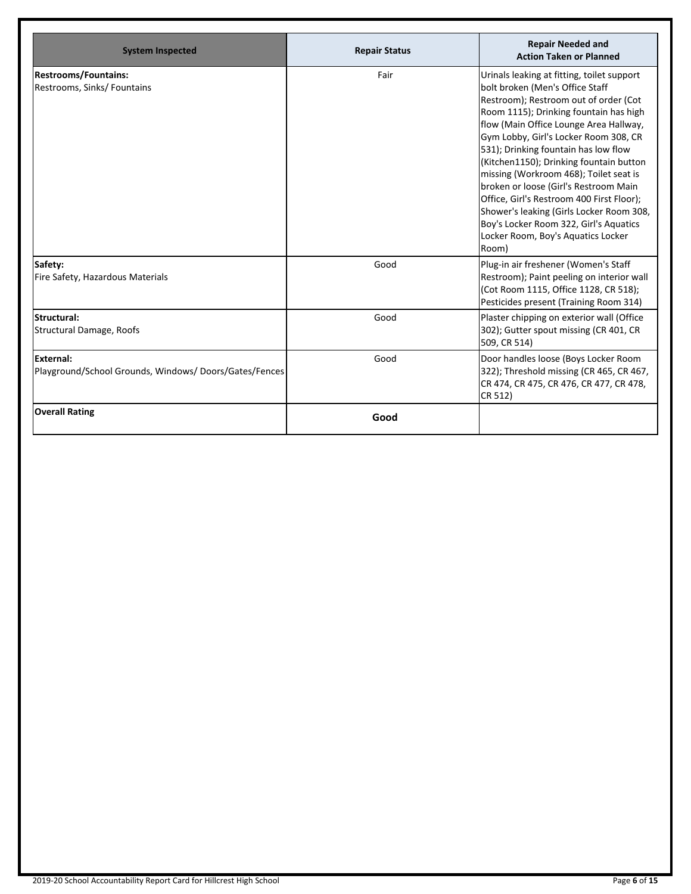| <b>System Inspected</b>                                                   | <b>Repair Status</b> | <b>Repair Needed and</b><br><b>Action Taken or Planned</b>                                                                                                                                                                                                                                                                                                                                                                                                                                                                                                                                                  |
|---------------------------------------------------------------------------|----------------------|-------------------------------------------------------------------------------------------------------------------------------------------------------------------------------------------------------------------------------------------------------------------------------------------------------------------------------------------------------------------------------------------------------------------------------------------------------------------------------------------------------------------------------------------------------------------------------------------------------------|
| Restrooms/Fountains:<br>Restrooms, Sinks/ Fountains                       | Fair                 | Urinals leaking at fitting, toilet support<br>bolt broken (Men's Office Staff<br>Restroom); Restroom out of order (Cot<br>Room 1115); Drinking fountain has high<br>flow (Main Office Lounge Area Hallway,<br>Gym Lobby, Girl's Locker Room 308, CR<br>531); Drinking fountain has low flow<br>(Kitchen1150); Drinking fountain button<br>missing (Workroom 468); Toilet seat is<br>broken or loose (Girl's Restroom Main<br>Office, Girl's Restroom 400 First Floor);<br>Shower's leaking (Girls Locker Room 308,<br>Boy's Locker Room 322, Girl's Aquatics<br>Locker Room, Boy's Aquatics Locker<br>Room) |
| Safety:<br>Fire Safety, Hazardous Materials                               | Good                 | Plug-in air freshener (Women's Staff<br>Restroom); Paint peeling on interior wall<br>(Cot Room 1115, Office 1128, CR 518);<br>Pesticides present (Training Room 314)                                                                                                                                                                                                                                                                                                                                                                                                                                        |
| lStructural:<br>Structural Damage, Roofs                                  | Good                 | Plaster chipping on exterior wall (Office<br>302); Gutter spout missing (CR 401, CR<br>509, CR 514)                                                                                                                                                                                                                                                                                                                                                                                                                                                                                                         |
| <b>External:</b><br>Playground/School Grounds, Windows/Doors/Gates/Fences | Good                 | Door handles loose (Boys Locker Room<br>322); Threshold missing (CR 465, CR 467,<br>CR 474, CR 475, CR 476, CR 477, CR 478,<br>CR 512)                                                                                                                                                                                                                                                                                                                                                                                                                                                                      |
| <b>Overall Rating</b>                                                     | Good                 |                                                                                                                                                                                                                                                                                                                                                                                                                                                                                                                                                                                                             |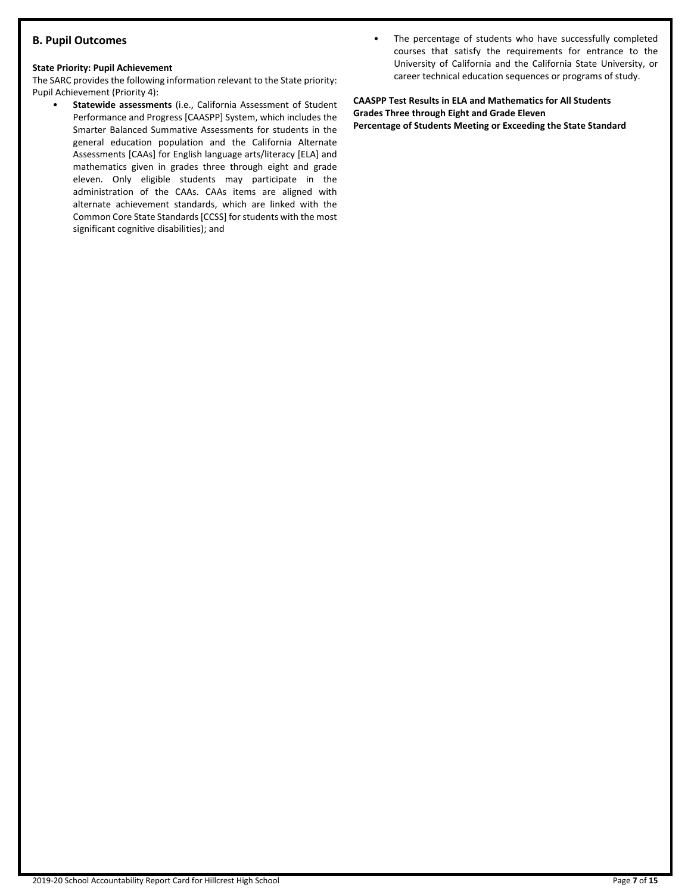# **B. Pupil Outcomes**

#### **State Priority: Pupil Achievement**

The SARC provides the following information relevant to the State priority: Pupil Achievement (Priority 4):

- **Statewide assessments** (i.e., California Assessment of Student Performance and Progress [CAASPP] System, which includes the Smarter Balanced Summative Assessments for students in the general education population and the California Alternate Assessments [CAAs] for English language arts/literacy [ELA] and mathematics given in grades three through eight and grade eleven. Only eligible students may participate in the administration of the CAAs. CAAs items are aligned with alternate achievement standards, which are linked with the Common Core State Standards [CCSS] for students with the most significant cognitive disabilities); and
- The percentage of students who have successfully completed courses that satisfy the requirements for entrance to the University of California and the California State University, or career technical education sequences or programs of study.

**CAASPP Test Results in ELA and Mathematics for All Students Grades Three through Eight and Grade Eleven Percentage of Students Meeting or Exceeding the State Standard**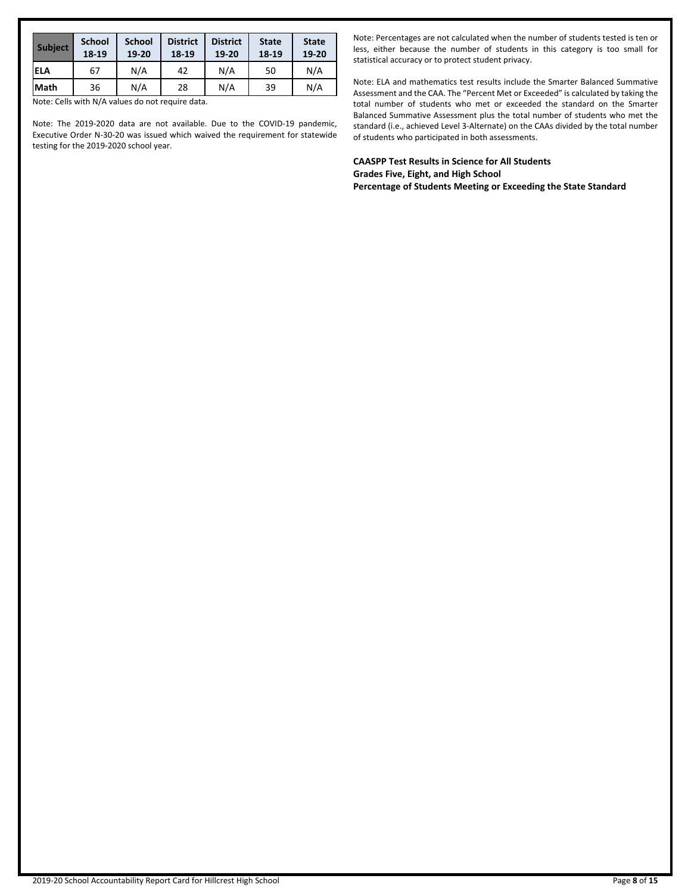| <b>Subject</b> | <b>School</b><br>18-19 | <b>School</b><br>19-20 | <b>District</b><br>18-19 | <b>District</b><br>19-20 | <b>State</b><br>18-19 | <b>State</b><br>19-20 |
|----------------|------------------------|------------------------|--------------------------|--------------------------|-----------------------|-----------------------|
| <b>ELA</b>     | 67                     | N/A                    | 42                       | N/A                      | 50                    | N/A                   |
| lMath          | 36                     | N/A                    | 28                       | N/A                      | 39                    | N/A                   |

Note: The 2019-2020 data are not available. Due to the COVID-19 pandemic, Executive Order N-30-20 was issued which waived the requirement for statewide testing for the 2019-2020 school year.

Note: Percentages are not calculated when the number of students tested is ten or less, either because the number of students in this category is too small for statistical accuracy or to protect student privacy.

Note: ELA and mathematics test results include the Smarter Balanced Summative Assessment and the CAA. The "Percent Met or Exceeded" is calculated by taking the total number of students who met or exceeded the standard on the Smarter Balanced Summative Assessment plus the total number of students who met the standard (i.e., achieved Level 3-Alternate) on the CAAs divided by the total number of students who participated in both assessments.

**CAASPP Test Results in Science for All Students Grades Five, Eight, and High School Percentage of Students Meeting or Exceeding the State Standard**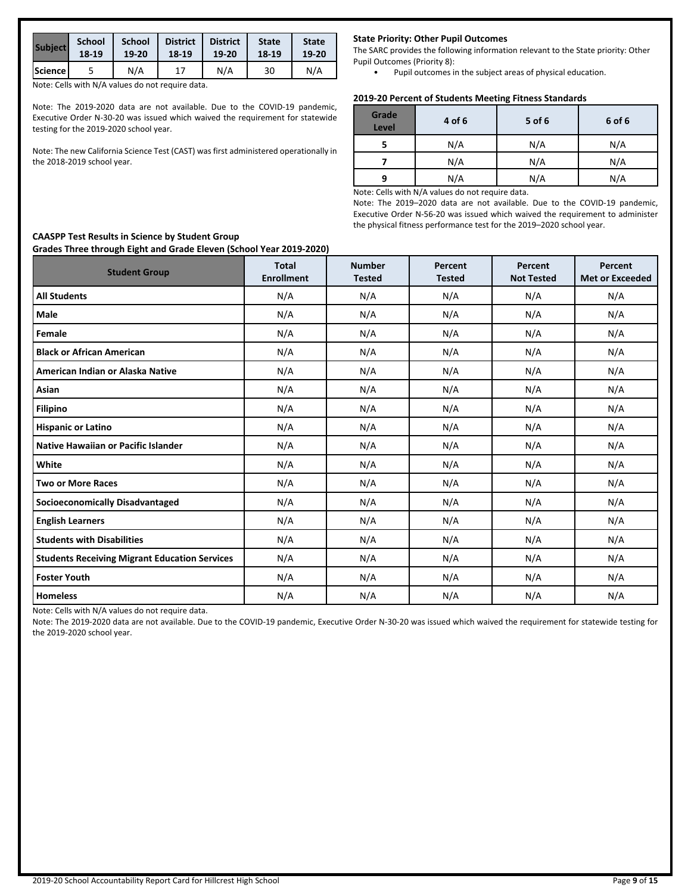| <b>Subject</b> | <b>School</b> | <b>School</b> | <b>District</b> | <b>District</b> | <b>State</b> | <b>State</b> |
|----------------|---------------|---------------|-----------------|-----------------|--------------|--------------|
|                | 18-19         | 19-20         | 18-19           | 19-20           | 18-19        | 19-20        |
| Science        |               | N/A           |                 | N/A             | 30           | N/A          |

Note: The 2019-2020 data are not available. Due to the COVID-19 pandemic, Executive Order N-30-20 was issued which waived the requirement for statewide testing for the 2019-2020 school year.

Note: The new California Science Test (CAST) was first administered operationally in the 2018-2019 school year.

#### **State Priority: Other Pupil Outcomes**

The SARC provides the following information relevant to the State priority: Other Pupil Outcomes (Priority 8):

• Pupil outcomes in the subject areas of physical education.

#### **2019-20 Percent of Students Meeting Fitness Standards**

| Grade<br><b>Level</b> | 4 of 6 | 5 of 6 | 6 of 6 |
|-----------------------|--------|--------|--------|
|                       | N/A    | N/A    | N/A    |
|                       | N/A    | N/A    | N/A    |
| q                     | N/A    | N/A    | N/A    |

Note: Cells with N/A values do not require data.

Note: The 2019–2020 data are not available. Due to the COVID-19 pandemic, Executive Order N-56-20 was issued which waived the requirement to administer the physical fitness performance test for the 2019–2020 school year.

| Grades Three through Eight and Grade Eleven (School Tear 2019-2020)<br><b>Student Group</b> | <b>Total</b><br><b>Enrollment</b> | <b>Number</b> | Percent       | Percent           | Percent                |
|---------------------------------------------------------------------------------------------|-----------------------------------|---------------|---------------|-------------------|------------------------|
|                                                                                             |                                   | <b>Tested</b> | <b>Tested</b> | <b>Not Tested</b> | <b>Met or Exceeded</b> |
| <b>All Students</b>                                                                         | N/A                               | N/A           | N/A           | N/A               | N/A                    |
| Male                                                                                        | N/A                               | N/A           | N/A           | N/A               | N/A                    |
| Female                                                                                      | N/A                               | N/A           | N/A           | N/A               | N/A                    |
| <b>Black or African American</b>                                                            | N/A                               | N/A           | N/A           | N/A               | N/A                    |
| American Indian or Alaska Native                                                            | N/A                               | N/A           | N/A           | N/A               | N/A                    |
| Asian                                                                                       | N/A                               | N/A           | N/A           | N/A               | N/A                    |
| <b>Filipino</b>                                                                             | N/A                               | N/A           | N/A           | N/A               | N/A                    |
| <b>Hispanic or Latino</b>                                                                   | N/A                               | N/A           | N/A           | N/A               | N/A                    |
| <b>Native Hawaiian or Pacific Islander</b>                                                  | N/A                               | N/A           | N/A           | N/A               | N/A                    |
| White                                                                                       | N/A                               | N/A           | N/A           | N/A               | N/A                    |
| <b>Two or More Races</b>                                                                    | N/A                               | N/A           | N/A           | N/A               | N/A                    |
| <b>Socioeconomically Disadvantaged</b>                                                      | N/A                               | N/A           | N/A           | N/A               | N/A                    |
| <b>English Learners</b>                                                                     | N/A                               | N/A           | N/A           | N/A               | N/A                    |
| <b>Students with Disabilities</b>                                                           | N/A                               | N/A           | N/A           | N/A               | N/A                    |
| <b>Students Receiving Migrant Education Services</b>                                        | N/A                               | N/A           | N/A           | N/A               | N/A                    |
| <b>Foster Youth</b>                                                                         | N/A                               | N/A           | N/A           | N/A               | N/A                    |
| <b>Homeless</b>                                                                             | N/A                               | N/A           | N/A           | N/A               | N/A                    |

Note: Cells with N/A values do not require data.

Note: The 2019-2020 data are not available. Due to the COVID-19 pandemic, Executive Order N-30-20 was issued which waived the requirement for statewide testing for the 2019-2020 school year.

#### **CAASPP Test Results in Science by Student Group Grades Three through Eight and Grade Eleven (School Year 2019-2020)**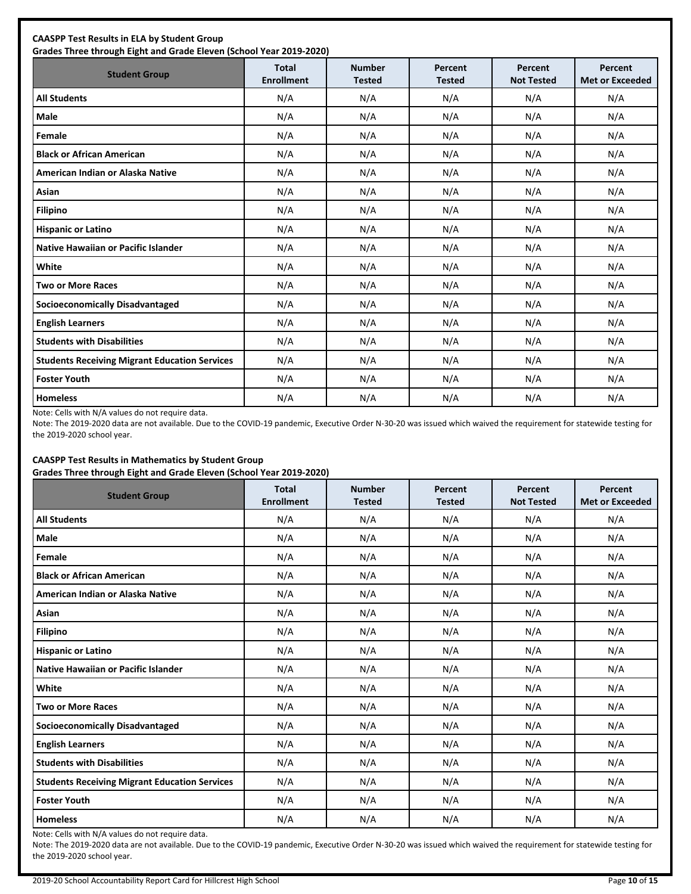| <b>CAASPP Test Results in ELA by Student Group</b><br>Grades Three through Eight and Grade Eleven (School Year 2019-2020) |                                   |                                |                          |                              |                                   |  |  |
|---------------------------------------------------------------------------------------------------------------------------|-----------------------------------|--------------------------------|--------------------------|------------------------------|-----------------------------------|--|--|
| <b>Student Group</b>                                                                                                      | <b>Total</b><br><b>Enrollment</b> | <b>Number</b><br><b>Tested</b> | Percent<br><b>Tested</b> | Percent<br><b>Not Tested</b> | Percent<br><b>Met or Exceeded</b> |  |  |
| <b>All Students</b>                                                                                                       | N/A                               | N/A                            | N/A                      | N/A                          | N/A                               |  |  |
| Male                                                                                                                      | N/A                               | N/A                            | N/A                      | N/A                          | N/A                               |  |  |
| Female                                                                                                                    | N/A                               | N/A                            | N/A                      | N/A                          | N/A                               |  |  |
| <b>Black or African American</b>                                                                                          | N/A                               | N/A                            | N/A                      | N/A                          | N/A                               |  |  |
| American Indian or Alaska Native                                                                                          | N/A                               | N/A                            | N/A                      | N/A                          | N/A                               |  |  |
| Asian                                                                                                                     | N/A                               | N/A                            | N/A                      | N/A                          | N/A                               |  |  |
| <b>Filipino</b>                                                                                                           | N/A                               | N/A                            | N/A                      | N/A                          | N/A                               |  |  |
| <b>Hispanic or Latino</b>                                                                                                 | N/A                               | N/A                            | N/A                      | N/A                          | N/A                               |  |  |
| Native Hawaiian or Pacific Islander                                                                                       | N/A                               | N/A                            | N/A                      | N/A                          | N/A                               |  |  |
| White                                                                                                                     | N/A                               | N/A                            | N/A                      | N/A                          | N/A                               |  |  |
| <b>Two or More Races</b>                                                                                                  | N/A                               | N/A                            | N/A                      | N/A                          | N/A                               |  |  |
| <b>Socioeconomically Disadvantaged</b>                                                                                    | N/A                               | N/A                            | N/A                      | N/A                          | N/A                               |  |  |
| <b>English Learners</b>                                                                                                   | N/A                               | N/A                            | N/A                      | N/A                          | N/A                               |  |  |
| <b>Students with Disabilities</b>                                                                                         | N/A                               | N/A                            | N/A                      | N/A                          | N/A                               |  |  |
| <b>Students Receiving Migrant Education Services</b>                                                                      | N/A                               | N/A                            | N/A                      | N/A                          | N/A                               |  |  |
| <b>Foster Youth</b>                                                                                                       | N/A                               | N/A                            | N/A                      | N/A                          | N/A                               |  |  |
| <b>Homeless</b>                                                                                                           | N/A                               | N/A                            | N/A                      | N/A                          | N/A                               |  |  |

Note: The 2019-2020 data are not available. Due to the COVID-19 pandemic, Executive Order N-30-20 was issued which waived the requirement for statewide testing for the 2019-2020 school year.

#### **CAASPP Test Results in Mathematics by Student Group Grades Three through Eight and Grade Eleven (School Year 2019-2020)**

| <b>Student Group</b>                                 | <b>Total</b><br><b>Enrollment</b> | <b>Number</b><br><b>Tested</b> | Percent<br><b>Tested</b> | Percent<br><b>Not Tested</b> | Percent<br><b>Met or Exceeded</b> |
|------------------------------------------------------|-----------------------------------|--------------------------------|--------------------------|------------------------------|-----------------------------------|
| <b>All Students</b>                                  | N/A                               | N/A                            | N/A                      | N/A                          | N/A                               |
| <b>Male</b>                                          | N/A                               | N/A                            | N/A                      | N/A                          | N/A                               |
| Female                                               | N/A                               | N/A                            | N/A                      | N/A                          | N/A                               |
| <b>Black or African American</b>                     | N/A                               | N/A                            | N/A                      | N/A                          | N/A                               |
| American Indian or Alaska Native                     | N/A                               | N/A                            | N/A                      | N/A                          | N/A                               |
| Asian                                                | N/A                               | N/A                            | N/A                      | N/A                          | N/A                               |
| <b>Filipino</b>                                      | N/A                               | N/A                            | N/A                      | N/A                          | N/A                               |
| <b>Hispanic or Latino</b>                            | N/A                               | N/A                            | N/A                      | N/A                          | N/A                               |
| <b>Native Hawaiian or Pacific Islander</b>           | N/A                               | N/A                            | N/A                      | N/A                          | N/A                               |
| White                                                | N/A                               | N/A                            | N/A                      | N/A                          | N/A                               |
| <b>Two or More Races</b>                             | N/A                               | N/A                            | N/A                      | N/A                          | N/A                               |
| <b>Socioeconomically Disadvantaged</b>               | N/A                               | N/A                            | N/A                      | N/A                          | N/A                               |
| <b>English Learners</b>                              | N/A                               | N/A                            | N/A                      | N/A                          | N/A                               |
| <b>Students with Disabilities</b>                    | N/A                               | N/A                            | N/A                      | N/A                          | N/A                               |
| <b>Students Receiving Migrant Education Services</b> | N/A                               | N/A                            | N/A                      | N/A                          | N/A                               |
| <b>Foster Youth</b>                                  | N/A                               | N/A                            | N/A                      | N/A                          | N/A                               |
| <b>Homeless</b>                                      | N/A                               | N/A                            | N/A                      | N/A                          | N/A                               |

Note: Cells with N/A values do not require data.

Note: The 2019-2020 data are not available. Due to the COVID-19 pandemic, Executive Order N-30-20 was issued which waived the requirement for statewide testing for the 2019-2020 school year.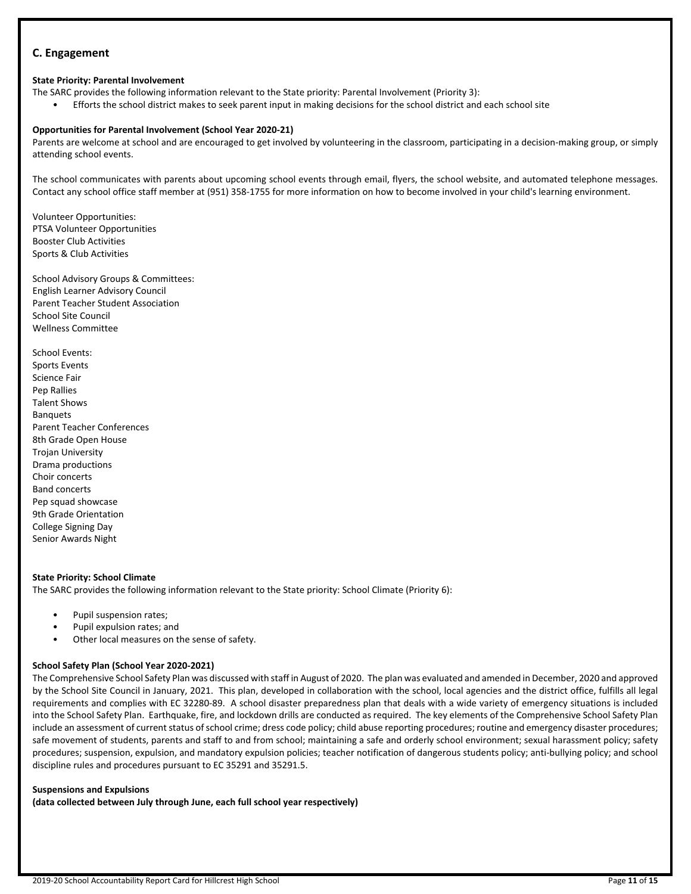# **C. Engagement**

#### **State Priority: Parental Involvement**

The SARC provides the following information relevant to the State priority: Parental Involvement (Priority 3):

• Efforts the school district makes to seek parent input in making decisions for the school district and each school site

#### **Opportunities for Parental Involvement (School Year 2020-21)**

Parents are welcome at school and are encouraged to get involved by volunteering in the classroom, participating in a decision-making group, or simply attending school events.

The school communicates with parents about upcoming school events through email, flyers, the school website, and automated telephone messages. Contact any school office staff member at (951) 358-1755 for more information on how to become involved in your child's learning environment.

Volunteer Opportunities: PTSA Volunteer Opportunities Booster Club Activities Sports & Club Activities

School Advisory Groups & Committees: English Learner Advisory Council Parent Teacher Student Association School Site Council Wellness Committee

School Events: Sports Events Science Fair Pep Rallies Talent Shows Banquets Parent Teacher Conferences 8th Grade Open House Trojan University Drama productions Choir concerts Band concerts Pep squad showcase 9th Grade Orientation College Signing Day Senior Awards Night

#### **State Priority: School Climate**

The SARC provides the following information relevant to the State priority: School Climate (Priority 6):

- Pupil suspension rates;
- Pupil expulsion rates; and
- Other local measures on the sense of safety.

#### **School Safety Plan (School Year 2020-2021)**

The Comprehensive School Safety Plan was discussed with staff in August of 2020. The plan was evaluated and amended in December, 2020 and approved by the School Site Council in January, 2021. This plan, developed in collaboration with the school, local agencies and the district office, fulfills all legal requirements and complies with EC 32280-89. A school disaster preparedness plan that deals with a wide variety of emergency situations is included into the School Safety Plan. Earthquake, fire, and lockdown drills are conducted as required. The key elements of the Comprehensive School Safety Plan include an assessment of current status of school crime; dress code policy; child abuse reporting procedures; routine and emergency disaster procedures; safe movement of students, parents and staff to and from school; maintaining a safe and orderly school environment; sexual harassment policy; safety procedures; suspension, expulsion, and mandatory expulsion policies; teacher notification of dangerous students policy; anti-bullying policy; and school discipline rules and procedures pursuant to EC 35291 and 35291.5.

#### **Suspensions and Expulsions**

**(data collected between July through June, each full school year respectively)**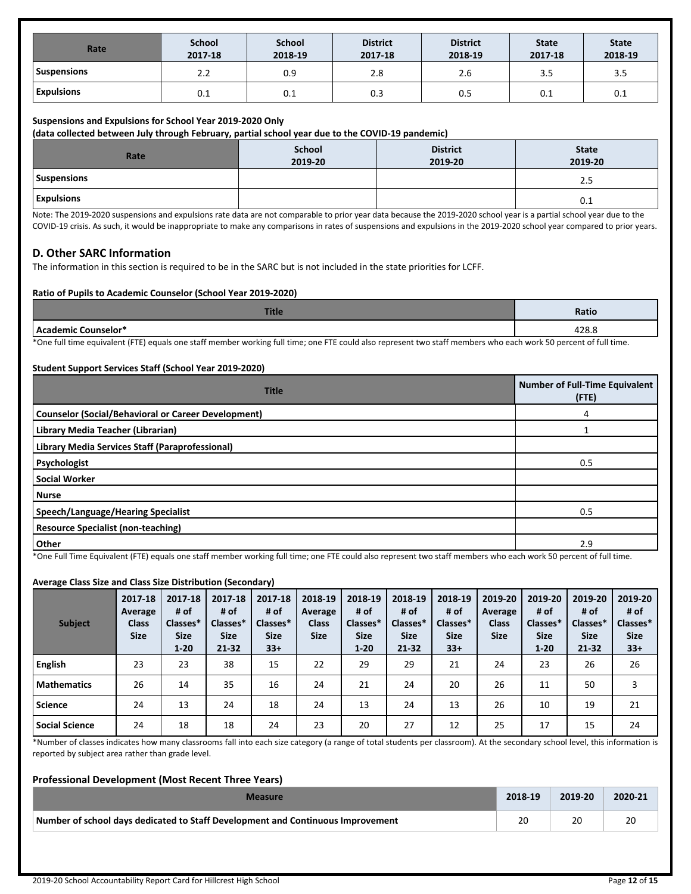| Rate               | <b>School</b><br>2017-18 | <b>School</b><br>2018-19 | <b>District</b><br>2017-18 | <b>District</b><br>2018-19 | <b>State</b><br>2017-18 | <b>State</b><br>2018-19 |
|--------------------|--------------------------|--------------------------|----------------------------|----------------------------|-------------------------|-------------------------|
| <b>Suspensions</b> | 2.2                      | 0.9                      | 2.8                        | 2.6                        | 3.5                     | 3.5                     |
| <b>Expulsions</b>  | 0.1                      | 0.1                      | 0.3                        | 0.5                        | 0.1                     | 0.1                     |

#### **Suspensions and Expulsions for School Year 2019-2020 Only**

**(data collected between July through February, partial school year due to the COVID-19 pandemic)**

| Rate               | School<br>2019-20 | <b>District</b><br>2019-20 | <b>State</b><br>2019-20 |
|--------------------|-------------------|----------------------------|-------------------------|
| <b>Suspensions</b> |                   |                            | 2.5                     |
| <b>Expulsions</b>  |                   |                            | 0.1                     |

Note: The 2019-2020 suspensions and expulsions rate data are not comparable to prior year data because the 2019-2020 school year is a partial school year due to the COVID-19 crisis. As such, it would be inappropriate to make any comparisons in rates of suspensions and expulsions in the 2019-2020 school year compared to prior years.

#### **D. Other SARC Information**

The information in this section is required to be in the SARC but is not included in the state priorities for LCFF.

#### **Ratio of Pupils to Academic Counselor (School Year 2019-2020)**

| п<br>пис | Ratic |
|----------|-------|
|          | າາດ   |

\*One full time equivalent (FTE) equals one staff member working full time; one FTE could also represent two staff members who each work 50 percent of full time.

#### **Student Support Services Staff (School Year 2019-2020)**

| <b>Title</b>                                               | <b>Number of Full-Time Equivalent</b><br>(FTE) |
|------------------------------------------------------------|------------------------------------------------|
| <b>Counselor (Social/Behavioral or Career Development)</b> | 4                                              |
| Library Media Teacher (Librarian)                          |                                                |
| Library Media Services Staff (Paraprofessional)            |                                                |
| Psychologist                                               | 0.5                                            |
| Social Worker                                              |                                                |
| l Nurse                                                    |                                                |
| Speech/Language/Hearing Specialist                         | 0.5                                            |
| <b>Resource Specialist (non-teaching)</b>                  |                                                |
| Other<br>$\sim$<br>.                                       | 2.9                                            |

\*One Full Time Equivalent (FTE) equals one staff member working full time; one FTE could also represent two staff members who each work 50 percent of full time.

#### **Average Class Size and Class Size Distribution (Secondary)**

| <b>Subject</b>        | 2017-18<br>Average<br><b>Class</b><br><b>Size</b> | 2017-18<br># of<br>Classes*<br><b>Size</b><br>$1 - 20$ | 2017-18<br># of<br>Classes*<br><b>Size</b><br>$21 - 32$ | 2017-18<br># of<br>Classes*<br><b>Size</b><br>$33+$ | 2018-19<br>Average<br><b>Class</b><br><b>Size</b> | 2018-19<br># of<br>Classes*<br><b>Size</b><br>$1 - 20$ | 2018-19<br># of<br>Classes*<br><b>Size</b><br>$21 - 32$ | 2018-19<br># of<br>Classes*<br><b>Size</b><br>$33+$ | 2019-20<br>Average<br><b>Class</b><br><b>Size</b> | 2019-20<br># of<br>Classes*<br><b>Size</b><br>$1 - 20$ | 2019-20<br># of<br>Classes*<br><b>Size</b><br>21-32 | 2019-20<br># of<br>Classes*<br><b>Size</b><br>$33+$ |
|-----------------------|---------------------------------------------------|--------------------------------------------------------|---------------------------------------------------------|-----------------------------------------------------|---------------------------------------------------|--------------------------------------------------------|---------------------------------------------------------|-----------------------------------------------------|---------------------------------------------------|--------------------------------------------------------|-----------------------------------------------------|-----------------------------------------------------|
| <b>English</b>        | 23                                                | 23                                                     | 38                                                      | 15                                                  | 22                                                | 29                                                     | 29                                                      | 21                                                  | 24                                                | 23                                                     | 26                                                  | 26                                                  |
| <b>Mathematics</b>    | 26                                                | 14                                                     | 35                                                      | 16                                                  | 24                                                | 21                                                     | 24                                                      | 20                                                  | 26                                                | 11                                                     | 50                                                  | 3                                                   |
| <b>Science</b>        | 24                                                | 13                                                     | 24                                                      | 18                                                  | 24                                                | 13                                                     | 24                                                      | 13                                                  | 26                                                | 10                                                     | 19                                                  | 21                                                  |
| <b>Social Science</b> | 24                                                | 18                                                     | 18                                                      | 24                                                  | 23                                                | 20                                                     | 27                                                      | 12                                                  | 25                                                | 17                                                     | 15                                                  | 24                                                  |

\*Number of classes indicates how many classrooms fall into each size category (a range of total students per classroom). At the secondary school level, this information is reported by subject area rather than grade level.

#### **Professional Development (Most Recent Three Years)**

| Measure                                                                         | 2018-19 | 2019-20 | 2020-21 |
|---------------------------------------------------------------------------------|---------|---------|---------|
| Number of school days dedicated to Staff Development and Continuous Improvement |         | 20      | 20      |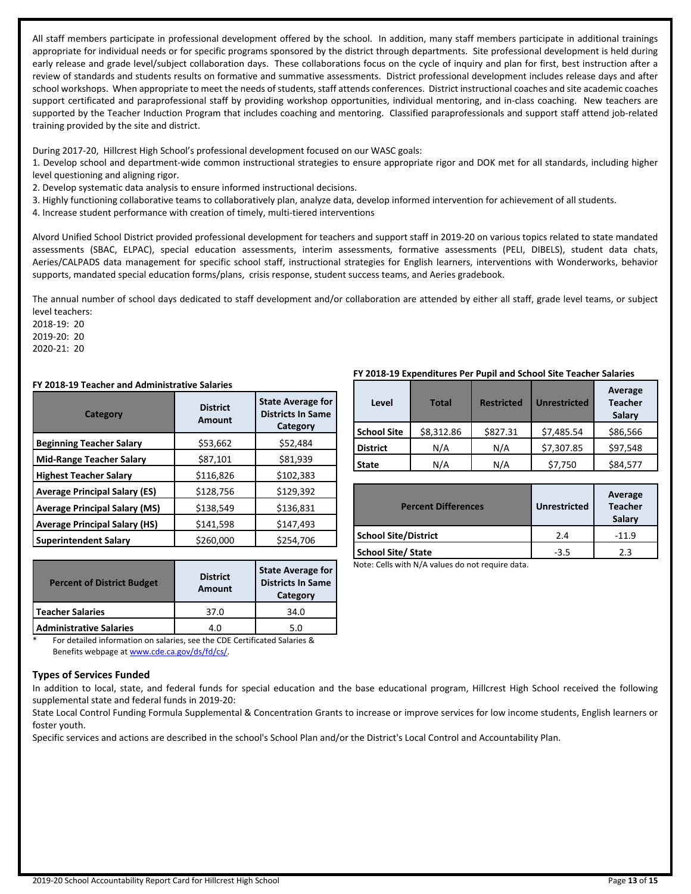All staff members participate in professional development offered by the school. In addition, many staff members participate in additional trainings appropriate for individual needs or for specific programs sponsored by the district through departments. Site professional development is held during early release and grade level/subject collaboration days. These collaborations focus on the cycle of inquiry and plan for first, best instruction after a review of standards and students results on formative and summative assessments. District professional development includes release days and after school workshops. When appropriate to meet the needs of students, staff attends conferences. District instructional coaches and site academic coaches support certificated and paraprofessional staff by providing workshop opportunities, individual mentoring, and in-class coaching. New teachers are supported by the Teacher Induction Program that includes coaching and mentoring. Classified paraprofessionals and support staff attend job-related training provided by the site and district.

During 2017-20, Hillcrest High School's professional development focused on our WASC goals:

1. Develop school and department-wide common instructional strategies to ensure appropriate rigor and DOK met for all standards, including higher level questioning and aligning rigor.

2. Develop systematic data analysis to ensure informed instructional decisions.

3. Highly functioning collaborative teams to collaboratively plan, analyze data, develop informed intervention for achievement of all students.

4. Increase student performance with creation of timely, multi-tiered interventions

Alvord Unified School District provided professional development for teachers and support staff in 2019-20 on various topics related to state mandated assessments (SBAC, ELPAC), special education assessments, interim assessments, formative assessments (PELI, DIBELS), student data chats, Aeries/CALPADS data management for specific school staff, instructional strategies for English learners, interventions with Wonderworks, behavior supports, mandated special education forms/plans, crisis response, student success teams, and Aeries gradebook.

The annual number of school days dedicated to staff development and/or collaboration are attended by either all staff, grade level teams, or subject level teachers:

2018-19: 20 2019-20: 20 2020-21: 20

#### **FY 2018-19 Teacher and Administrative Salaries**

| Category                             | <b>District</b><br>Amount | <b>State Average for</b><br><b>Districts In Same</b><br>Category |  |  |
|--------------------------------------|---------------------------|------------------------------------------------------------------|--|--|
| <b>Beginning Teacher Salary</b>      | \$53,662                  | \$52,484                                                         |  |  |
| <b>Mid-Range Teacher Salary</b>      | \$87,101                  | \$81,939                                                         |  |  |
| <b>Highest Teacher Salary</b>        | \$116,826                 | \$102,383                                                        |  |  |
| <b>Average Principal Salary (ES)</b> | \$128,756                 | \$129,392                                                        |  |  |
| <b>Average Principal Salary (MS)</b> | \$138,549                 | \$136,831                                                        |  |  |
| <b>Average Principal Salary (HS)</b> | \$141,598                 | \$147,493                                                        |  |  |
| <b>Superintendent Salary</b>         | \$260,000                 | \$254,706                                                        |  |  |

| <b>Amount</b> | <b>State Average for</b><br><b>Districts In Same</b><br>Category |  |
|---------------|------------------------------------------------------------------|--|
| 37.0          | 34.0                                                             |  |
| 4.0           | 5.0                                                              |  |
|               | <b>District</b>                                                  |  |

For detailed information on salaries, see the CDE Certificated Salaries & Benefits webpage at [www.cde.ca.gov/ds/fd/cs/](http://www.cde.ca.gov/ds/fd/cs/).

#### **Types of Services Funded**

In addition to local, state, and federal funds for special education and the base educational program, Hillcrest High School received the following supplemental state and federal funds in 2019-20:

State Local Control Funding Formula Supplemental & Concentration Grants to increase or improve services for low income students, English learners or foster youth.

Specific services and actions are described in the school's School Plan and/or the District's Local Control and Accountability Plan.

#### **FY 2018-19 Expenditures Per Pupil and School Site Teacher Salaries**

| Level              | <b>Total</b> | <b>Restricted</b> | <b>Unrestricted</b> | Average<br><b>Teacher</b><br>Salary |
|--------------------|--------------|-------------------|---------------------|-------------------------------------|
| <b>School Site</b> | \$8,312.86   | \$827.31          | \$7,485.54          | \$86,566                            |
| <b>District</b>    | N/A          | N/A               | \$7,307.85          | \$97,548                            |
| <b>State</b>       | N/A          | N/A               | \$7,750             | \$84,577                            |

| <b>Percent Differences</b>  | <b>Unrestricted</b> | Average<br><b>Teacher</b><br>Salary |
|-----------------------------|---------------------|-------------------------------------|
| <b>School Site/District</b> | 24                  | $-11.9$                             |
| <b>School Site/ State</b>   | $-3.5$              | 2.3                                 |

Note: Cells with N/A values do not require data.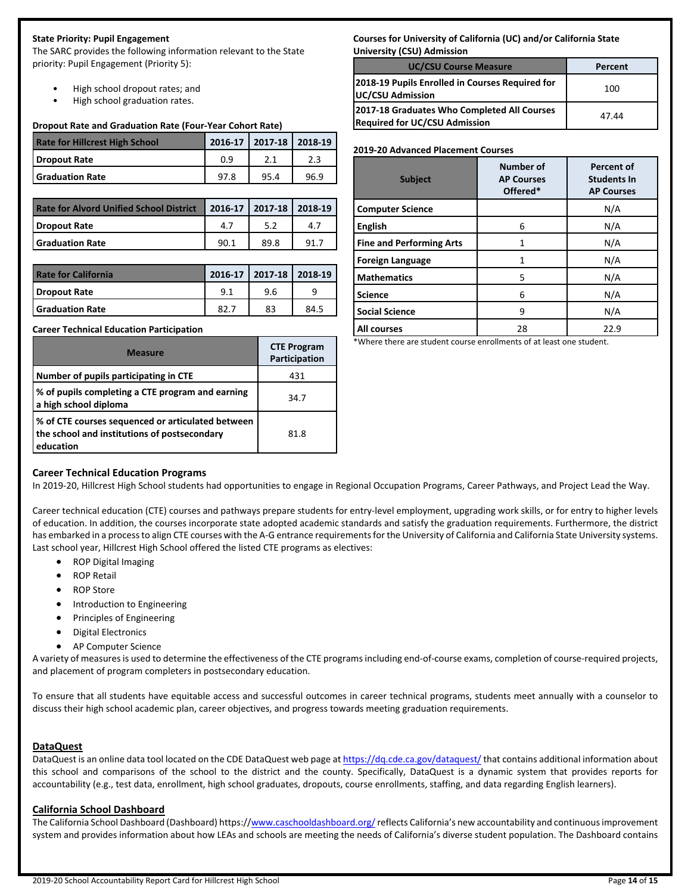# **State Priority: Pupil Engagement**

The SARC provides the following information relevant to the State priority: Pupil Engagement (Priority 5):

- High school dropout rates; and
- High school graduation rates.

#### **Dropout Rate and Graduation Rate (Four-Year Cohort Rate)**

| <b>Rate for Hillcrest High School</b> |      | 2016-17 2017-18 2018-19 |      |
|---------------------------------------|------|-------------------------|------|
| Dropout Rate                          | 0.9  |                         |      |
| <b>Sanduation Rate</b>                | 97.8 | 95.4                    | 96.9 |

| <b>Rate for Alvord Unified School District</b> | 2016-17   2017-18   2018-19 |      |  |
|------------------------------------------------|-----------------------------|------|--|
| Dropout Rate                                   | 4.7                         |      |  |
| <b>Sanduation Rate</b>                         | 90.1                        | 89.8 |  |

| <b>Rate for California</b> |      | 2016-17   2017-18   2018-19 |      |
|----------------------------|------|-----------------------------|------|
| Dropout Rate               | 9.1  | 9.6                         |      |
| <b>Graduation Rate</b>     | 82.7 | 83                          | 84.5 |

#### **Career Technical Education Participation**

| <b>Measure</b>                                                                                                 | <b>CTE Program</b><br>Participation |
|----------------------------------------------------------------------------------------------------------------|-------------------------------------|
| Number of pupils participating in CTE                                                                          | 431                                 |
| % of pupils completing a CTE program and earning<br>a high school diploma                                      | 34.7                                |
| % of CTE courses sequenced or articulated between<br>the school and institutions of postsecondary<br>education | 81.8                                |

#### **Courses for University of California (UC) and/or California State University (CSU) Admission**

| <b>UC/CSU Course Measure</b>                                                        | Percent |
|-------------------------------------------------------------------------------------|---------|
| 2018-19 Pupils Enrolled in Courses Required for<br>UC/CSU Admission                 | 100     |
| 2017-18 Graduates Who Completed All Courses<br><b>Required for UC/CSU Admission</b> | 47.44   |

#### **2019-20 Advanced Placement Courses**

| <b>Subject</b>                  | <b>Number of</b><br><b>AP Courses</b><br>Offered* | <b>Percent of</b><br><b>Students In</b><br><b>AP Courses</b> |
|---------------------------------|---------------------------------------------------|--------------------------------------------------------------|
| <b>Computer Science</b>         |                                                   | N/A                                                          |
| <b>English</b>                  | 6                                                 | N/A                                                          |
| <b>Fine and Performing Arts</b> | 1                                                 | N/A                                                          |
| <b>Foreign Language</b>         | 1                                                 | N/A                                                          |
| <b>Mathematics</b>              | 5                                                 | N/A                                                          |
| <b>Science</b>                  | 6                                                 | N/A                                                          |
| <b>Social Science</b>           | 9                                                 | N/A                                                          |
| All courses                     | 28                                                | 22.9                                                         |

\*Where there are student course enrollments of at least one student.

# **Career Technical Education Programs**

In 2019-20, Hillcrest High School students had opportunities to engage in Regional Occupation Programs, Career Pathways, and Project Lead the Way.

Career technical education (CTE) courses and pathways prepare students for entry-level employment, upgrading work skills, or for entry to higher levels of education. In addition, the courses incorporate state adopted academic standards and satisfy the graduation requirements. Furthermore, the district has embarked in a process to align CTE courses with the A-G entrance requirements for the University of California and California State University systems. Last school year, Hillcrest High School offered the listed CTE programs as electives:

- ROP Digital Imaging
- ROP Retail
- ROP Store
- Introduction to Engineering
- **•** Principles of Engineering
- **•** Digital Electronics
- AP Computer Science

A variety of measuresis used to determine the effectiveness of the CTE programsincluding end-of-course exams, completion of course-required projects, and placement of program completers in postsecondary education.

To ensure that all students have equitable access and successful outcomes in career technical programs, students meet annually with a counselor to discuss their high school academic plan, career objectives, and progress towards meeting graduation requirements.

#### **DataQuest**

DataQuest is an online data tool located on the CDE DataQuest web page at <https://dq.cde.ca.gov/dataquest/> that contains additional information about this school and comparisons of the school to the district and the county. Specifically, DataQuest is a dynamic system that provides reports for accountability (e.g., test data, enrollment, high school graduates, dropouts, course enrollments, staffing, and data regarding English learners).

#### **California School Dashboard**

The California School Dashboard (Dashboard) https://[www.caschooldashboard.org/](https://www.caschooldashboard.org/)reflects California's new accountability and continuous improvement system and provides information about how LEAs and schools are meeting the needs of California's diverse student population. The Dashboard contains